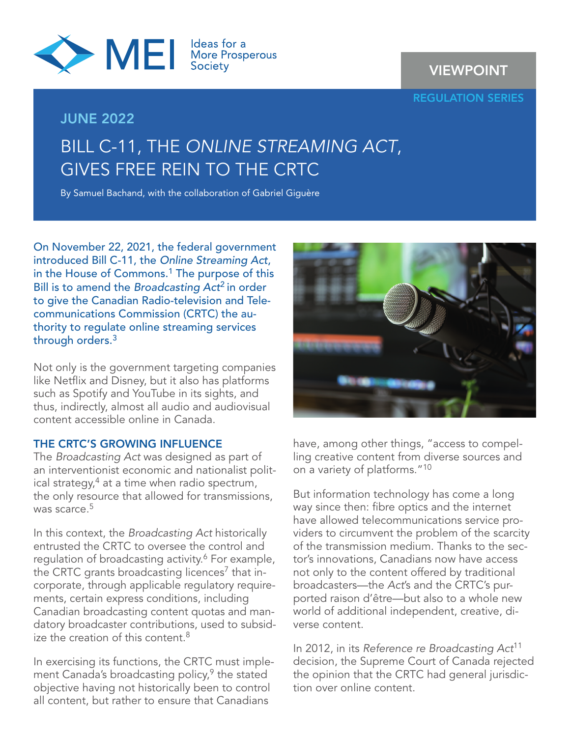

### JUNE 2022

## VIEWPOINT

REGULATION SERIES

# BILL C-11, THE *ONLINE STREAMING ACT*, GIVES FREE REIN TO THE CRTC

By Samuel Bachand, with the collaboration of Gabriel Giguère

On November 22, 2021, the federal government introduced Bill C-11, the *Online Streaming Act*, in the House of Commons.<sup>1</sup> The purpose of this Bill is to amend the *Broadcasting Act*2 in order to give the Canadian Radio-television and Telecommunications Commission (CRTC) the authority to regulate online streaming services through orders.<sup>3</sup>

Not only is the government targeting companies like Netflix and Disney, but it also has platforms such as Spotify and YouTube in its sights, and thus, indirectly, almost all audio and audiovisual content accessible online in Canada.

#### THE CRTC'S GROWING INFLUENCE

The *Broadcasting Act* was designed as part of an interventionist economic and nationalist political strategy,<sup>4</sup> at a time when radio spectrum, the only resource that allowed for transmissions, was scarce  $5$ 

In this context, the *Broadcasting Act* historically entrusted the CRTC to oversee the control and regulation of broadcasting activity.<sup>6</sup> For example, the CRTC grants broadcasting licences<sup>7</sup> that incorporate, through applicable regulatory requirements, certain express conditions, including Canadian broadcasting content quotas and mandatory broadcaster contributions, used to subsidize the creation of this content. $8$ 

In exercising its functions, the CRTC must implement Canada's broadcasting policy, $9$  the stated objective having not historically been to control all content, but rather to ensure that Canadians



have, among other things, "access to compelling creative content from diverse sources and on a variety of platforms."10

But information technology has come a long way since then: fibre optics and the internet have allowed telecommunications service providers to circumvent the problem of the scarcity of the transmission medium. Thanks to the sector's innovations, Canadians now have access not only to the content offered by traditional broadcasters—the *Act*'s and the CRTC's purported raison d'être—but also to a whole new world of additional independent, creative, diverse content.

In 2012, in its *Reference re Broadcasting Act*<sup>11</sup> decision, the Supreme Court of Canada rejected the opinion that the CRTC had general jurisdiction over online content.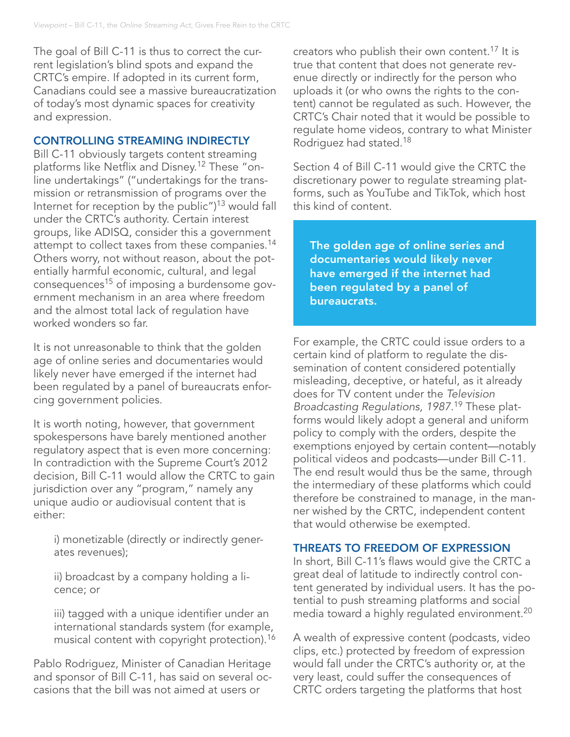The goal of Bill C-11 is thus to correct the current legislation's blind spots and expand the CRTC's empire. If adopted in its current form, Canadians could see a massive bureaucratization of today's most dynamic spaces for creativity and expression.

#### CONTROLLING STREAMING INDIRECTLY

Bill C-11 obviously targets content streaming platforms like Netflix and Disney.12 These "online undertakings" ("undertakings for the transmission or retransmission of programs over the Internet for reception by the public")13 would fall under the CRTC's authority. Certain interest groups, like ADISQ, consider this a government attempt to collect taxes from these companies.<sup>14</sup> Others worry, not without reason, about the potentially harmful economic, cultural, and legal consequences<sup>15</sup> of imposing a burdensome government mechanism in an area where freedom and the almost total lack of regulation have worked wonders so far.

It is not unreasonable to think that the golden age of online series and documentaries would likely never have emerged if the internet had been regulated by a panel of bureaucrats enforcing government policies.

It is worth noting, however, that government spokespersons have barely mentioned another regulatory aspect that is even more concerning: In contradiction with the Supreme Court's 2012 decision, Bill C-11 would allow the CRTC to gain jurisdiction over any "program," namely any unique audio or audiovisual content that is either:

i) monetizable (directly or indirectly generates revenues);

ii) broadcast by a company holding a licence; or

iii) tagged with a unique identifier under an international standards system (for example, musical content with copyright protection).<sup>16</sup>

Pablo Rodriguez, Minister of Canadian Heritage and sponsor of Bill C-11, has said on several occasions that the bill was not aimed at users or

creators who publish their own content.<sup>17</sup> It is true that content that does not generate revenue directly or indirectly for the person who uploads it (or who owns the rights to the content) cannot be regulated as such. However, the CRTC's Chair noted that it would be possible to regulate home videos, contrary to what Minister Rodriguez had stated.18

Section 4 of Bill C-11 would give the CRTC the discretionary power to regulate streaming platforms, such as YouTube and TikTok, which host this kind of content.

The golden age of online series and documentaries would likely never have emerged if the internet had been regulated by a panel of bureaucrats.

For example, the CRTC could issue orders to a certain kind of platform to regulate the dissemination of content considered potentially misleading, deceptive, or hateful, as it already does for TV content under the *Television Broadcasting Regulations, 1987*. 19 These platforms would likely adopt a general and uniform policy to comply with the orders, despite the exemptions enjoyed by certain content—notably political videos and podcasts—under Bill C-11. The end result would thus be the same, through the intermediary of these platforms which could therefore be constrained to manage, in the manner wished by the CRTC, independent content that would otherwise be exempted.

#### THREATS TO FREEDOM OF EXPRESSION

In short, Bill C-11's flaws would give the CRTC a great deal of latitude to indirectly control content generated by individual users. It has the potential to push streaming platforms and social media toward a highly regulated environment.20

A wealth of expressive content (podcasts, video clips, etc.) protected by freedom of expression would fall under the CRTC's authority or, at the very least, could suffer the consequences of CRTC orders targeting the platforms that host